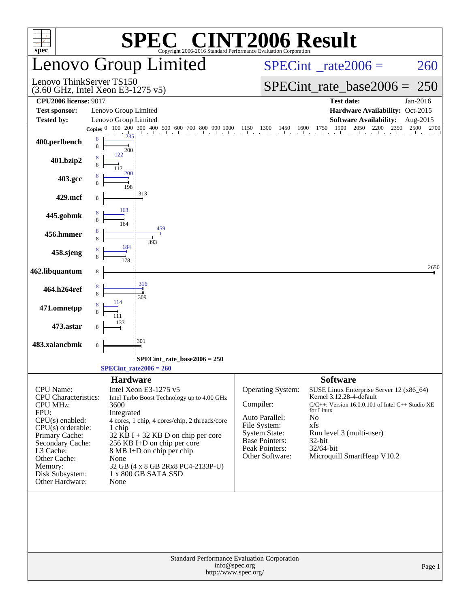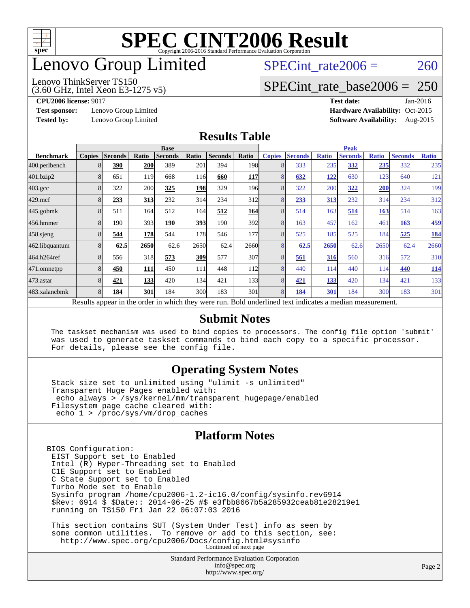

# enovo Group Limited

#### (3.60 GHz, Intel Xeon E3-1275 v5) Lenovo ThinkServer TS150

SPECint rate $2006 = 260$ 

### [SPECint\\_rate\\_base2006 =](http://www.spec.org/auto/cpu2006/Docs/result-fields.html#SPECintratebase2006) 250

**[Test sponsor:](http://www.spec.org/auto/cpu2006/Docs/result-fields.html#Testsponsor)** Lenovo Group Limited **[Hardware Availability:](http://www.spec.org/auto/cpu2006/Docs/result-fields.html#HardwareAvailability)** Oct-2015

**[CPU2006 license:](http://www.spec.org/auto/cpu2006/Docs/result-fields.html#CPU2006license)** 9017 **[Test date:](http://www.spec.org/auto/cpu2006/Docs/result-fields.html#Testdate)** Jan-2016 **[Tested by:](http://www.spec.org/auto/cpu2006/Docs/result-fields.html#Testedby)** Lenovo Group Limited **[Software Availability:](http://www.spec.org/auto/cpu2006/Docs/result-fields.html#SoftwareAvailability)** Aug-2015

### **[Results Table](http://www.spec.org/auto/cpu2006/Docs/result-fields.html#ResultsTable)**

|                    | <b>Base</b>   |                |       |                                                                                                          |       |                |                  | <b>Peak</b>   |                |              |                |              |                |              |
|--------------------|---------------|----------------|-------|----------------------------------------------------------------------------------------------------------|-------|----------------|------------------|---------------|----------------|--------------|----------------|--------------|----------------|--------------|
| <b>Benchmark</b>   | <b>Copies</b> | <b>Seconds</b> | Ratio | <b>Seconds</b>                                                                                           | Ratio | <b>Seconds</b> | Ratio            | <b>Copies</b> | <b>Seconds</b> | <b>Ratio</b> | <b>Seconds</b> | <b>Ratio</b> | <b>Seconds</b> | <b>Ratio</b> |
| 400.perlbench      | 8             | 390            | 200   | 389                                                                                                      | 201   | 394            | 198 <sub>1</sub> | 8             | 333            | 235          | 332            | <u>235</u>   | 332            | 235          |
| 401.bzip2          | 8             | 651            | 119   | 668                                                                                                      | 116   | 660            | <b>117</b>       | 8             | 632            | 122          | 630            | 123          | 640            | 121          |
| $403.\mathrm{gcc}$ | 8             | 322            | 200   | 325                                                                                                      | 198   | 329            | 196 <sup>l</sup> | 8             | 322            | 200          | 322            | 200          | 324            | 199          |
| $429$ .mcf         | 8             | 233            | 313   | 232                                                                                                      | 314   | 234            | 312              | 8             | 233            | 313          | 232            | 314          | 234            | 312          |
| $445$ .gobm $k$    | 8             | 511            | 164   | 512                                                                                                      | 164   | 512            | 164              | 8             | 514            | 163          | 514            | <b>163</b>   | 514            | 163          |
| 456.hmmer          | 8             | 190            | 393   | 190                                                                                                      | 393   | 190            | 392l             | 8             | 163            | 457          | 162            | 461          | 163            | 459          |
| 458 sjeng          | 8             | 544            | 178   | 544                                                                                                      | 178   | 546            | 177              | 8             | 525            | 185          | 525            | 184          | 525            | <u>184</u>   |
| 462.libquantum     | 8             | 62.5           | 2650  | 62.6                                                                                                     | 2650  | 62.4           | 2660l            | 8             | 62.5           | 2650         | 62.6           | 2650         | 62.4           | 2660         |
| 464.h264ref        | 8             | 556            | 318   | 573                                                                                                      | 309   | 577            | 307              | 8             | 561            | 316          | 560            | 316          | 572            | 310          |
| 471.omnetpp        | 8             | 450            | 111   | 450                                                                                                      | 111   | 448            | 112              | 8             | 440            | 114          | 440            | 114          | 440            | <b>114</b>   |
| 473.astar          | 8             | 421            | 133   | 420                                                                                                      | 134   | 421            | 133 <sup>I</sup> | 8             | 421            | 133          | 420            | 134          | 421            | 133          |
| 483.xalancbmk      | 8             | 184            | 301   | 184                                                                                                      | 300   | 183            | 301              | 8             | 184            | 301          | 184            | 300          | 183            | 301          |
|                    |               |                |       | Results appear in the order in which they were run. Bold underlined text indicates a median measurement. |       |                |                  |               |                |              |                |              |                |              |

### **[Submit Notes](http://www.spec.org/auto/cpu2006/Docs/result-fields.html#SubmitNotes)**

 The taskset mechanism was used to bind copies to processors. The config file option 'submit' was used to generate taskset commands to bind each copy to a specific processor. For details, please see the config file.

### **[Operating System Notes](http://www.spec.org/auto/cpu2006/Docs/result-fields.html#OperatingSystemNotes)**

 Stack size set to unlimited using "ulimit -s unlimited" Transparent Huge Pages enabled with: echo always > /sys/kernel/mm/transparent\_hugepage/enabled Filesystem page cache cleared with: echo 1 > /proc/sys/vm/drop\_caches

### **[Platform Notes](http://www.spec.org/auto/cpu2006/Docs/result-fields.html#PlatformNotes)**

BIOS Configuration: EIST Support set to Enabled Intel (R) Hyper-Threading set to Enabled C1E Support set to Enabled C State Support set to Enabled Turbo Mode set to Enable Sysinfo program /home/cpu2006-1.2-ic16.0/config/sysinfo.rev6914 \$Rev: 6914 \$ \$Date:: 2014-06-25 #\$ e3fbb8667b5a285932ceab81e28219e1 running on TS150 Fri Jan 22 06:07:03 2016 This section contains SUT (System Under Test) info as seen by

 some common utilities. To remove or add to this section, see: <http://www.spec.org/cpu2006/Docs/config.html#sysinfo> Continued on next page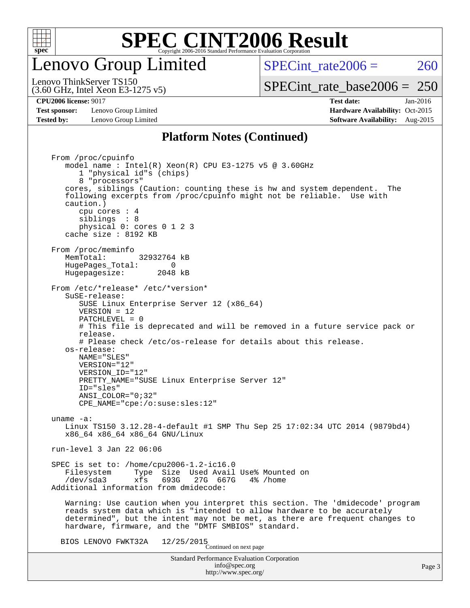

## enovo Group Limited

SPECint rate $2006 = 260$ 

(3.60 GHz, Intel Xeon E3-1275 v5) Lenovo ThinkServer TS150

### [SPECint\\_rate\\_base2006 =](http://www.spec.org/auto/cpu2006/Docs/result-fields.html#SPECintratebase2006) 250

**[Test sponsor:](http://www.spec.org/auto/cpu2006/Docs/result-fields.html#Testsponsor)** Lenovo Group Limited **[Hardware Availability:](http://www.spec.org/auto/cpu2006/Docs/result-fields.html#HardwareAvailability)** Oct-2015 **[Tested by:](http://www.spec.org/auto/cpu2006/Docs/result-fields.html#Testedby)** Lenovo Group Limited **[Software Availability:](http://www.spec.org/auto/cpu2006/Docs/result-fields.html#SoftwareAvailability)** Aug-2015

**[CPU2006 license:](http://www.spec.org/auto/cpu2006/Docs/result-fields.html#CPU2006license)** 9017 **[Test date:](http://www.spec.org/auto/cpu2006/Docs/result-fields.html#Testdate)** Jan-2016

### **[Platform Notes \(Continued\)](http://www.spec.org/auto/cpu2006/Docs/result-fields.html#PlatformNotes)**

Standard Performance Evaluation Corporation [info@spec.org](mailto:info@spec.org) <http://www.spec.org/> From /proc/cpuinfo model name : Intel(R) Xeon(R) CPU E3-1275 v5 @ 3.60GHz 1 "physical id"s (chips) 8 "processors" cores, siblings (Caution: counting these is hw and system dependent. The following excerpts from /proc/cpuinfo might not be reliable. Use with caution.) cpu cores : 4 siblings : 8 physical 0: cores 0 1 2 3 cache size : 8192 KB From /proc/meminfo MemTotal: 32932764 kB HugePages\_Total: 0<br>Hugepagesize: 2048 kB Hugepagesize: From /etc/\*release\* /etc/\*version\* SuSE-release: SUSE Linux Enterprise Server 12 (x86\_64) VERSION = 12 PATCHLEVEL = 0 # This file is deprecated and will be removed in a future service pack or release. # Please check /etc/os-release for details about this release. os-release: NAME="SLES" VERSION="12" VERSION\_ID="12" PRETTY\_NAME="SUSE Linux Enterprise Server 12" ID="sles" ANSI\_COLOR="0;32" CPE\_NAME="cpe:/o:suse:sles:12" uname -a: Linux TS150 3.12.28-4-default #1 SMP Thu Sep 25 17:02:34 UTC 2014 (9879bd4) x86\_64 x86\_64 x86\_64 GNU/Linux run-level 3 Jan 22 06:06 SPEC is set to: /home/cpu2006-1.2-ic16.0 Filesystem Type Size Used Avail Use% Mounted on<br>
/dev/sda3 xfs 693G 27G 667G 4% /home 27G 667G Additional information from dmidecode: Warning: Use caution when you interpret this section. The 'dmidecode' program reads system data which is "intended to allow hardware to be accurately determined", but the intent may not be met, as there are frequent changes to hardware, firmware, and the "DMTF SMBIOS" standard. BIOS LENOVO FWKT32A  $12/25/2015$ <br>Continued on next page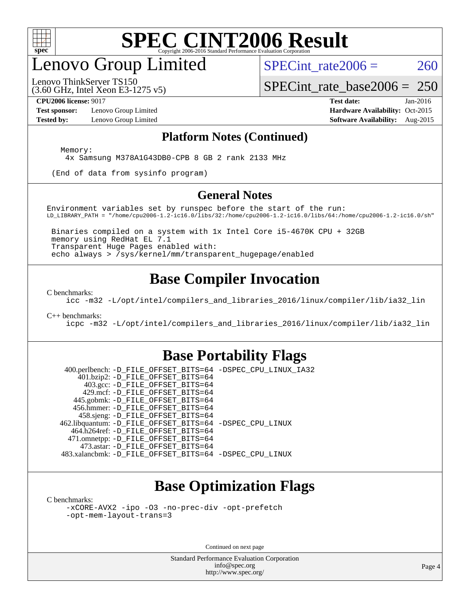

## enovo Group Limited

SPECint rate $2006 = 260$ 

(3.60 GHz, Intel Xeon E3-1275 v5) Lenovo ThinkServer TS150

[SPECint\\_rate\\_base2006 =](http://www.spec.org/auto/cpu2006/Docs/result-fields.html#SPECintratebase2006) 250

**[Test sponsor:](http://www.spec.org/auto/cpu2006/Docs/result-fields.html#Testsponsor)** Lenovo Group Limited **[Hardware Availability:](http://www.spec.org/auto/cpu2006/Docs/result-fields.html#HardwareAvailability)** Oct-2015

**[CPU2006 license:](http://www.spec.org/auto/cpu2006/Docs/result-fields.html#CPU2006license)** 9017 **[Test date:](http://www.spec.org/auto/cpu2006/Docs/result-fields.html#Testdate)** Jan-2016 **[Tested by:](http://www.spec.org/auto/cpu2006/Docs/result-fields.html#Testedby)** Lenovo Group Limited **[Software Availability:](http://www.spec.org/auto/cpu2006/Docs/result-fields.html#SoftwareAvailability)** Aug-2015

### **[Platform Notes \(Continued\)](http://www.spec.org/auto/cpu2006/Docs/result-fields.html#PlatformNotes)**

Memory:

4x Samsung M378A1G43DB0-CPB 8 GB 2 rank 2133 MHz

(End of data from sysinfo program)

### **[General Notes](http://www.spec.org/auto/cpu2006/Docs/result-fields.html#GeneralNotes)**

Environment variables set by runspec before the start of the run: LD\_LIBRARY\_PATH = "/home/cpu2006-1.2-ic16.0/libs/32:/home/cpu2006-1.2-ic16.0/libs/64:/home/cpu2006-1.2-ic16.0/sh"

 Binaries compiled on a system with 1x Intel Core i5-4670K CPU + 32GB memory using RedHat EL 7.1 Transparent Huge Pages enabled with: echo always > /sys/kernel/mm/transparent\_hugepage/enabled

### **[Base Compiler Invocation](http://www.spec.org/auto/cpu2006/Docs/result-fields.html#BaseCompilerInvocation)**

[C benchmarks](http://www.spec.org/auto/cpu2006/Docs/result-fields.html#Cbenchmarks):

[icc -m32 -L/opt/intel/compilers\\_and\\_libraries\\_2016/linux/compiler/lib/ia32\\_lin](http://www.spec.org/cpu2006/results/res2016q1/cpu2006-20160125-38849.flags.html#user_CCbase_intel_icc_e10256ba5924b668798078a321b0cb3f)

#### [C++ benchmarks:](http://www.spec.org/auto/cpu2006/Docs/result-fields.html#CXXbenchmarks)

[icpc -m32 -L/opt/intel/compilers\\_and\\_libraries\\_2016/linux/compiler/lib/ia32\\_lin](http://www.spec.org/cpu2006/results/res2016q1/cpu2006-20160125-38849.flags.html#user_CXXbase_intel_icpc_b4f50a394bdb4597aa5879c16bc3f5c5)

### **[Base Portability Flags](http://www.spec.org/auto/cpu2006/Docs/result-fields.html#BasePortabilityFlags)**

 400.perlbench: [-D\\_FILE\\_OFFSET\\_BITS=64](http://www.spec.org/cpu2006/results/res2016q1/cpu2006-20160125-38849.flags.html#user_basePORTABILITY400_perlbench_file_offset_bits_64_438cf9856305ebd76870a2c6dc2689ab) [-DSPEC\\_CPU\\_LINUX\\_IA32](http://www.spec.org/cpu2006/results/res2016q1/cpu2006-20160125-38849.flags.html#b400.perlbench_baseCPORTABILITY_DSPEC_CPU_LINUX_IA32) 401.bzip2: [-D\\_FILE\\_OFFSET\\_BITS=64](http://www.spec.org/cpu2006/results/res2016q1/cpu2006-20160125-38849.flags.html#user_basePORTABILITY401_bzip2_file_offset_bits_64_438cf9856305ebd76870a2c6dc2689ab) 403.gcc: [-D\\_FILE\\_OFFSET\\_BITS=64](http://www.spec.org/cpu2006/results/res2016q1/cpu2006-20160125-38849.flags.html#user_basePORTABILITY403_gcc_file_offset_bits_64_438cf9856305ebd76870a2c6dc2689ab) 429.mcf: [-D\\_FILE\\_OFFSET\\_BITS=64](http://www.spec.org/cpu2006/results/res2016q1/cpu2006-20160125-38849.flags.html#user_basePORTABILITY429_mcf_file_offset_bits_64_438cf9856305ebd76870a2c6dc2689ab) 445.gobmk: [-D\\_FILE\\_OFFSET\\_BITS=64](http://www.spec.org/cpu2006/results/res2016q1/cpu2006-20160125-38849.flags.html#user_basePORTABILITY445_gobmk_file_offset_bits_64_438cf9856305ebd76870a2c6dc2689ab) 456.hmmer: [-D\\_FILE\\_OFFSET\\_BITS=64](http://www.spec.org/cpu2006/results/res2016q1/cpu2006-20160125-38849.flags.html#user_basePORTABILITY456_hmmer_file_offset_bits_64_438cf9856305ebd76870a2c6dc2689ab) 458.sjeng: [-D\\_FILE\\_OFFSET\\_BITS=64](http://www.spec.org/cpu2006/results/res2016q1/cpu2006-20160125-38849.flags.html#user_basePORTABILITY458_sjeng_file_offset_bits_64_438cf9856305ebd76870a2c6dc2689ab) 462.libquantum: [-D\\_FILE\\_OFFSET\\_BITS=64](http://www.spec.org/cpu2006/results/res2016q1/cpu2006-20160125-38849.flags.html#user_basePORTABILITY462_libquantum_file_offset_bits_64_438cf9856305ebd76870a2c6dc2689ab) [-DSPEC\\_CPU\\_LINUX](http://www.spec.org/cpu2006/results/res2016q1/cpu2006-20160125-38849.flags.html#b462.libquantum_baseCPORTABILITY_DSPEC_CPU_LINUX) 464.h264ref: [-D\\_FILE\\_OFFSET\\_BITS=64](http://www.spec.org/cpu2006/results/res2016q1/cpu2006-20160125-38849.flags.html#user_basePORTABILITY464_h264ref_file_offset_bits_64_438cf9856305ebd76870a2c6dc2689ab) 471.omnetpp: [-D\\_FILE\\_OFFSET\\_BITS=64](http://www.spec.org/cpu2006/results/res2016q1/cpu2006-20160125-38849.flags.html#user_basePORTABILITY471_omnetpp_file_offset_bits_64_438cf9856305ebd76870a2c6dc2689ab) 473.astar: [-D\\_FILE\\_OFFSET\\_BITS=64](http://www.spec.org/cpu2006/results/res2016q1/cpu2006-20160125-38849.flags.html#user_basePORTABILITY473_astar_file_offset_bits_64_438cf9856305ebd76870a2c6dc2689ab) 483.xalancbmk: [-D\\_FILE\\_OFFSET\\_BITS=64](http://www.spec.org/cpu2006/results/res2016q1/cpu2006-20160125-38849.flags.html#user_basePORTABILITY483_xalancbmk_file_offset_bits_64_438cf9856305ebd76870a2c6dc2689ab) [-DSPEC\\_CPU\\_LINUX](http://www.spec.org/cpu2006/results/res2016q1/cpu2006-20160125-38849.flags.html#b483.xalancbmk_baseCXXPORTABILITY_DSPEC_CPU_LINUX)

## **[Base Optimization Flags](http://www.spec.org/auto/cpu2006/Docs/result-fields.html#BaseOptimizationFlags)**

[C benchmarks](http://www.spec.org/auto/cpu2006/Docs/result-fields.html#Cbenchmarks):

[-xCORE-AVX2](http://www.spec.org/cpu2006/results/res2016q1/cpu2006-20160125-38849.flags.html#user_CCbase_f-xAVX2_5f5fc0cbe2c9f62c816d3e45806c70d7) [-ipo](http://www.spec.org/cpu2006/results/res2016q1/cpu2006-20160125-38849.flags.html#user_CCbase_f-ipo) [-O3](http://www.spec.org/cpu2006/results/res2016q1/cpu2006-20160125-38849.flags.html#user_CCbase_f-O3) [-no-prec-div](http://www.spec.org/cpu2006/results/res2016q1/cpu2006-20160125-38849.flags.html#user_CCbase_f-no-prec-div) [-opt-prefetch](http://www.spec.org/cpu2006/results/res2016q1/cpu2006-20160125-38849.flags.html#user_CCbase_f-opt-prefetch) [-opt-mem-layout-trans=3](http://www.spec.org/cpu2006/results/res2016q1/cpu2006-20160125-38849.flags.html#user_CCbase_f-opt-mem-layout-trans_a7b82ad4bd7abf52556d4961a2ae94d5)

Continued on next page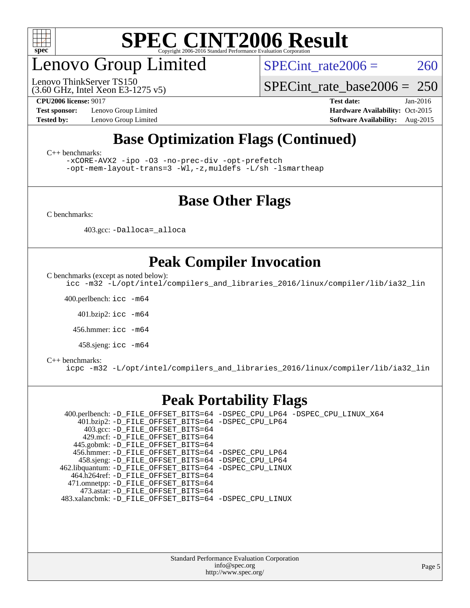

# enovo Group Limited

(3.60 GHz, Intel Xeon E3-1275 v5) Lenovo ThinkServer TS150

SPECint rate $2006 = 260$ 

[SPECint\\_rate\\_base2006 =](http://www.spec.org/auto/cpu2006/Docs/result-fields.html#SPECintratebase2006) 250

**[Test sponsor:](http://www.spec.org/auto/cpu2006/Docs/result-fields.html#Testsponsor)** Lenovo Group Limited **[Hardware Availability:](http://www.spec.org/auto/cpu2006/Docs/result-fields.html#HardwareAvailability)** Oct-2015

**[CPU2006 license:](http://www.spec.org/auto/cpu2006/Docs/result-fields.html#CPU2006license)** 9017 **[Test date:](http://www.spec.org/auto/cpu2006/Docs/result-fields.html#Testdate)** Jan-2016 **[Tested by:](http://www.spec.org/auto/cpu2006/Docs/result-fields.html#Testedby)** Lenovo Group Limited **[Software Availability:](http://www.spec.org/auto/cpu2006/Docs/result-fields.html#SoftwareAvailability)** Aug-2015

## **[Base Optimization Flags \(Continued\)](http://www.spec.org/auto/cpu2006/Docs/result-fields.html#BaseOptimizationFlags)**

[C++ benchmarks:](http://www.spec.org/auto/cpu2006/Docs/result-fields.html#CXXbenchmarks)

[-xCORE-AVX2](http://www.spec.org/cpu2006/results/res2016q1/cpu2006-20160125-38849.flags.html#user_CXXbase_f-xAVX2_5f5fc0cbe2c9f62c816d3e45806c70d7) [-ipo](http://www.spec.org/cpu2006/results/res2016q1/cpu2006-20160125-38849.flags.html#user_CXXbase_f-ipo) [-O3](http://www.spec.org/cpu2006/results/res2016q1/cpu2006-20160125-38849.flags.html#user_CXXbase_f-O3) [-no-prec-div](http://www.spec.org/cpu2006/results/res2016q1/cpu2006-20160125-38849.flags.html#user_CXXbase_f-no-prec-div) [-opt-prefetch](http://www.spec.org/cpu2006/results/res2016q1/cpu2006-20160125-38849.flags.html#user_CXXbase_f-opt-prefetch)

[-opt-mem-layout-trans=3](http://www.spec.org/cpu2006/results/res2016q1/cpu2006-20160125-38849.flags.html#user_CXXbase_f-opt-mem-layout-trans_a7b82ad4bd7abf52556d4961a2ae94d5) [-Wl,-z,muldefs](http://www.spec.org/cpu2006/results/res2016q1/cpu2006-20160125-38849.flags.html#user_CXXbase_link_force_multiple1_74079c344b956b9658436fd1b6dd3a8a) [-L/sh -lsmartheap](http://www.spec.org/cpu2006/results/res2016q1/cpu2006-20160125-38849.flags.html#user_CXXbase_SmartHeap_32f6c82aa1ed9c52345d30cf6e4a0499)

### **[Base Other Flags](http://www.spec.org/auto/cpu2006/Docs/result-fields.html#BaseOtherFlags)**

[C benchmarks](http://www.spec.org/auto/cpu2006/Docs/result-fields.html#Cbenchmarks):

403.gcc: [-Dalloca=\\_alloca](http://www.spec.org/cpu2006/results/res2016q1/cpu2006-20160125-38849.flags.html#b403.gcc_baseEXTRA_CFLAGS_Dalloca_be3056838c12de2578596ca5467af7f3)

## **[Peak Compiler Invocation](http://www.spec.org/auto/cpu2006/Docs/result-fields.html#PeakCompilerInvocation)**

[C benchmarks \(except as noted below\)](http://www.spec.org/auto/cpu2006/Docs/result-fields.html#Cbenchmarksexceptasnotedbelow):

[icc -m32 -L/opt/intel/compilers\\_and\\_libraries\\_2016/linux/compiler/lib/ia32\\_lin](http://www.spec.org/cpu2006/results/res2016q1/cpu2006-20160125-38849.flags.html#user_CCpeak_intel_icc_e10256ba5924b668798078a321b0cb3f)

400.perlbench: [icc -m64](http://www.spec.org/cpu2006/results/res2016q1/cpu2006-20160125-38849.flags.html#user_peakCCLD400_perlbench_intel_icc_64bit_bda6cc9af1fdbb0edc3795bac97ada53)

401.bzip2: [icc -m64](http://www.spec.org/cpu2006/results/res2016q1/cpu2006-20160125-38849.flags.html#user_peakCCLD401_bzip2_intel_icc_64bit_bda6cc9af1fdbb0edc3795bac97ada53)

456.hmmer: [icc -m64](http://www.spec.org/cpu2006/results/res2016q1/cpu2006-20160125-38849.flags.html#user_peakCCLD456_hmmer_intel_icc_64bit_bda6cc9af1fdbb0edc3795bac97ada53)

458.sjeng: [icc -m64](http://www.spec.org/cpu2006/results/res2016q1/cpu2006-20160125-38849.flags.html#user_peakCCLD458_sjeng_intel_icc_64bit_bda6cc9af1fdbb0edc3795bac97ada53)

#### [C++ benchmarks:](http://www.spec.org/auto/cpu2006/Docs/result-fields.html#CXXbenchmarks)

[icpc -m32 -L/opt/intel/compilers\\_and\\_libraries\\_2016/linux/compiler/lib/ia32\\_lin](http://www.spec.org/cpu2006/results/res2016q1/cpu2006-20160125-38849.flags.html#user_CXXpeak_intel_icpc_b4f50a394bdb4597aa5879c16bc3f5c5)

### **[Peak Portability Flags](http://www.spec.org/auto/cpu2006/Docs/result-fields.html#PeakPortabilityFlags)**

 400.perlbench: [-D\\_FILE\\_OFFSET\\_BITS=64](http://www.spec.org/cpu2006/results/res2016q1/cpu2006-20160125-38849.flags.html#user_peakPORTABILITY400_perlbench_file_offset_bits_64_438cf9856305ebd76870a2c6dc2689ab) [-DSPEC\\_CPU\\_LP64](http://www.spec.org/cpu2006/results/res2016q1/cpu2006-20160125-38849.flags.html#b400.perlbench_peakCPORTABILITY_DSPEC_CPU_LP64) [-DSPEC\\_CPU\\_LINUX\\_X64](http://www.spec.org/cpu2006/results/res2016q1/cpu2006-20160125-38849.flags.html#b400.perlbench_peakCPORTABILITY_DSPEC_CPU_LINUX_X64) 401.bzip2: [-D\\_FILE\\_OFFSET\\_BITS=64](http://www.spec.org/cpu2006/results/res2016q1/cpu2006-20160125-38849.flags.html#user_peakPORTABILITY401_bzip2_file_offset_bits_64_438cf9856305ebd76870a2c6dc2689ab) [-DSPEC\\_CPU\\_LP64](http://www.spec.org/cpu2006/results/res2016q1/cpu2006-20160125-38849.flags.html#suite_peakCPORTABILITY401_bzip2_DSPEC_CPU_LP64) 403.gcc: [-D\\_FILE\\_OFFSET\\_BITS=64](http://www.spec.org/cpu2006/results/res2016q1/cpu2006-20160125-38849.flags.html#user_peakPORTABILITY403_gcc_file_offset_bits_64_438cf9856305ebd76870a2c6dc2689ab) 429.mcf: [-D\\_FILE\\_OFFSET\\_BITS=64](http://www.spec.org/cpu2006/results/res2016q1/cpu2006-20160125-38849.flags.html#user_peakPORTABILITY429_mcf_file_offset_bits_64_438cf9856305ebd76870a2c6dc2689ab) 445.gobmk: [-D\\_FILE\\_OFFSET\\_BITS=64](http://www.spec.org/cpu2006/results/res2016q1/cpu2006-20160125-38849.flags.html#user_peakPORTABILITY445_gobmk_file_offset_bits_64_438cf9856305ebd76870a2c6dc2689ab) 456.hmmer: [-D\\_FILE\\_OFFSET\\_BITS=64](http://www.spec.org/cpu2006/results/res2016q1/cpu2006-20160125-38849.flags.html#user_peakPORTABILITY456_hmmer_file_offset_bits_64_438cf9856305ebd76870a2c6dc2689ab) [-DSPEC\\_CPU\\_LP64](http://www.spec.org/cpu2006/results/res2016q1/cpu2006-20160125-38849.flags.html#suite_peakCPORTABILITY456_hmmer_DSPEC_CPU_LP64) 458.sjeng: [-D\\_FILE\\_OFFSET\\_BITS=64](http://www.spec.org/cpu2006/results/res2016q1/cpu2006-20160125-38849.flags.html#user_peakPORTABILITY458_sjeng_file_offset_bits_64_438cf9856305ebd76870a2c6dc2689ab) [-DSPEC\\_CPU\\_LP64](http://www.spec.org/cpu2006/results/res2016q1/cpu2006-20160125-38849.flags.html#suite_peakCPORTABILITY458_sjeng_DSPEC_CPU_LP64) 462.libquantum: [-D\\_FILE\\_OFFSET\\_BITS=64](http://www.spec.org/cpu2006/results/res2016q1/cpu2006-20160125-38849.flags.html#user_peakPORTABILITY462_libquantum_file_offset_bits_64_438cf9856305ebd76870a2c6dc2689ab) [-DSPEC\\_CPU\\_LINUX](http://www.spec.org/cpu2006/results/res2016q1/cpu2006-20160125-38849.flags.html#b462.libquantum_peakCPORTABILITY_DSPEC_CPU_LINUX) 464.h264ref: [-D\\_FILE\\_OFFSET\\_BITS=64](http://www.spec.org/cpu2006/results/res2016q1/cpu2006-20160125-38849.flags.html#user_peakPORTABILITY464_h264ref_file_offset_bits_64_438cf9856305ebd76870a2c6dc2689ab) 471.omnetpp: [-D\\_FILE\\_OFFSET\\_BITS=64](http://www.spec.org/cpu2006/results/res2016q1/cpu2006-20160125-38849.flags.html#user_peakPORTABILITY471_omnetpp_file_offset_bits_64_438cf9856305ebd76870a2c6dc2689ab) 473.astar: [-D\\_FILE\\_OFFSET\\_BITS=64](http://www.spec.org/cpu2006/results/res2016q1/cpu2006-20160125-38849.flags.html#user_peakPORTABILITY473_astar_file_offset_bits_64_438cf9856305ebd76870a2c6dc2689ab) 483.xalancbmk: [-D\\_FILE\\_OFFSET\\_BITS=64](http://www.spec.org/cpu2006/results/res2016q1/cpu2006-20160125-38849.flags.html#user_peakPORTABILITY483_xalancbmk_file_offset_bits_64_438cf9856305ebd76870a2c6dc2689ab) [-DSPEC\\_CPU\\_LINUX](http://www.spec.org/cpu2006/results/res2016q1/cpu2006-20160125-38849.flags.html#b483.xalancbmk_peakCXXPORTABILITY_DSPEC_CPU_LINUX)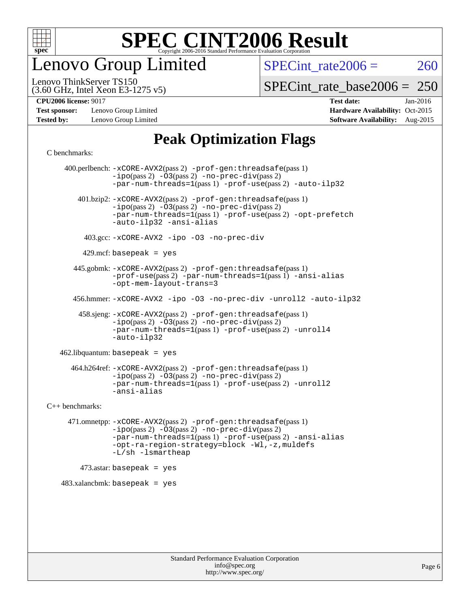

enovo Group Limited

SPECint rate $2006 = 260$ 

(3.60 GHz, Intel Xeon E3-1275 v5) Lenovo ThinkServer TS150

[SPECint\\_rate\\_base2006 =](http://www.spec.org/auto/cpu2006/Docs/result-fields.html#SPECintratebase2006) 250

**[Test sponsor:](http://www.spec.org/auto/cpu2006/Docs/result-fields.html#Testsponsor)** Lenovo Group Limited **[Hardware Availability:](http://www.spec.org/auto/cpu2006/Docs/result-fields.html#HardwareAvailability)** Oct-2015 **[Tested by:](http://www.spec.org/auto/cpu2006/Docs/result-fields.html#Testedby)** Lenovo Group Limited **[Software Availability:](http://www.spec.org/auto/cpu2006/Docs/result-fields.html#SoftwareAvailability)** Aug-2015

**[CPU2006 license:](http://www.spec.org/auto/cpu2006/Docs/result-fields.html#CPU2006license)** 9017 **[Test date:](http://www.spec.org/auto/cpu2006/Docs/result-fields.html#Testdate)** Jan-2016

## **[Peak Optimization Flags](http://www.spec.org/auto/cpu2006/Docs/result-fields.html#PeakOptimizationFlags)**

[C benchmarks](http://www.spec.org/auto/cpu2006/Docs/result-fields.html#Cbenchmarks):

 400.perlbench: [-xCORE-AVX2](http://www.spec.org/cpu2006/results/res2016q1/cpu2006-20160125-38849.flags.html#user_peakPASS2_CFLAGSPASS2_LDCFLAGS400_perlbench_f-xAVX2_5f5fc0cbe2c9f62c816d3e45806c70d7)(pass 2) [-prof-gen:threadsafe](http://www.spec.org/cpu2006/results/res2016q1/cpu2006-20160125-38849.flags.html#user_peakPASS1_CFLAGSPASS1_LDCFLAGS400_perlbench_prof_gen_21a26eb79f378b550acd7bec9fe4467a)(pass 1)  $-i\text{po}(pass 2) -\overline{03}(pass 2)$  [-no-prec-div](http://www.spec.org/cpu2006/results/res2016q1/cpu2006-20160125-38849.flags.html#user_peakPASS2_CFLAGSPASS2_LDCFLAGS400_perlbench_f-no-prec-div)(pass 2) [-par-num-threads=1](http://www.spec.org/cpu2006/results/res2016q1/cpu2006-20160125-38849.flags.html#user_peakPASS1_CFLAGSPASS1_LDCFLAGS400_perlbench_par_num_threads_786a6ff141b4e9e90432e998842df6c2)(pass 1) [-prof-use](http://www.spec.org/cpu2006/results/res2016q1/cpu2006-20160125-38849.flags.html#user_peakPASS2_CFLAGSPASS2_LDCFLAGS400_perlbench_prof_use_bccf7792157ff70d64e32fe3e1250b55)(pass 2) [-auto-ilp32](http://www.spec.org/cpu2006/results/res2016q1/cpu2006-20160125-38849.flags.html#user_peakCOPTIMIZE400_perlbench_f-auto-ilp32) 401.bzip2: [-xCORE-AVX2](http://www.spec.org/cpu2006/results/res2016q1/cpu2006-20160125-38849.flags.html#user_peakPASS2_CFLAGSPASS2_LDCFLAGS401_bzip2_f-xAVX2_5f5fc0cbe2c9f62c816d3e45806c70d7)(pass 2) [-prof-gen:threadsafe](http://www.spec.org/cpu2006/results/res2016q1/cpu2006-20160125-38849.flags.html#user_peakPASS1_CFLAGSPASS1_LDCFLAGS401_bzip2_prof_gen_21a26eb79f378b550acd7bec9fe4467a)(pass 1)  $-ipo(pass 2) -\overline{O}3(pass 2)$  $-ipo(pass 2) -\overline{O}3(pass 2)$  [-no-prec-div](http://www.spec.org/cpu2006/results/res2016q1/cpu2006-20160125-38849.flags.html#user_peakPASS2_CFLAGSPASS2_LDCFLAGS401_bzip2_f-no-prec-div)(pass 2) [-par-num-threads=1](http://www.spec.org/cpu2006/results/res2016q1/cpu2006-20160125-38849.flags.html#user_peakPASS1_CFLAGSPASS1_LDCFLAGS401_bzip2_par_num_threads_786a6ff141b4e9e90432e998842df6c2)(pass 1) [-prof-use](http://www.spec.org/cpu2006/results/res2016q1/cpu2006-20160125-38849.flags.html#user_peakPASS2_CFLAGSPASS2_LDCFLAGS401_bzip2_prof_use_bccf7792157ff70d64e32fe3e1250b55)(pass 2) [-opt-prefetch](http://www.spec.org/cpu2006/results/res2016q1/cpu2006-20160125-38849.flags.html#user_peakCOPTIMIZE401_bzip2_f-opt-prefetch) [-auto-ilp32](http://www.spec.org/cpu2006/results/res2016q1/cpu2006-20160125-38849.flags.html#user_peakCOPTIMIZE401_bzip2_f-auto-ilp32) [-ansi-alias](http://www.spec.org/cpu2006/results/res2016q1/cpu2006-20160125-38849.flags.html#user_peakCOPTIMIZE401_bzip2_f-ansi-alias) 403.gcc: [-xCORE-AVX2](http://www.spec.org/cpu2006/results/res2016q1/cpu2006-20160125-38849.flags.html#user_peakCOPTIMIZE403_gcc_f-xAVX2_5f5fc0cbe2c9f62c816d3e45806c70d7) [-ipo](http://www.spec.org/cpu2006/results/res2016q1/cpu2006-20160125-38849.flags.html#user_peakCOPTIMIZE403_gcc_f-ipo) [-O3](http://www.spec.org/cpu2006/results/res2016q1/cpu2006-20160125-38849.flags.html#user_peakCOPTIMIZE403_gcc_f-O3) [-no-prec-div](http://www.spec.org/cpu2006/results/res2016q1/cpu2006-20160125-38849.flags.html#user_peakCOPTIMIZE403_gcc_f-no-prec-div)  $429$ .mcf: basepeak = yes 445.gobmk: [-xCORE-AVX2](http://www.spec.org/cpu2006/results/res2016q1/cpu2006-20160125-38849.flags.html#user_peakPASS2_CFLAGSPASS2_LDCFLAGS445_gobmk_f-xAVX2_5f5fc0cbe2c9f62c816d3e45806c70d7)(pass 2) [-prof-gen:threadsafe](http://www.spec.org/cpu2006/results/res2016q1/cpu2006-20160125-38849.flags.html#user_peakPASS1_CFLAGSPASS1_LDCFLAGS445_gobmk_prof_gen_21a26eb79f378b550acd7bec9fe4467a)(pass 1) [-prof-use](http://www.spec.org/cpu2006/results/res2016q1/cpu2006-20160125-38849.flags.html#user_peakPASS2_CFLAGSPASS2_LDCFLAGS445_gobmk_prof_use_bccf7792157ff70d64e32fe3e1250b55)(pass 2) [-par-num-threads=1](http://www.spec.org/cpu2006/results/res2016q1/cpu2006-20160125-38849.flags.html#user_peakPASS1_CFLAGSPASS1_LDCFLAGS445_gobmk_par_num_threads_786a6ff141b4e9e90432e998842df6c2)(pass 1) [-ansi-alias](http://www.spec.org/cpu2006/results/res2016q1/cpu2006-20160125-38849.flags.html#user_peakCOPTIMIZE445_gobmk_f-ansi-alias) [-opt-mem-layout-trans=3](http://www.spec.org/cpu2006/results/res2016q1/cpu2006-20160125-38849.flags.html#user_peakCOPTIMIZE445_gobmk_f-opt-mem-layout-trans_a7b82ad4bd7abf52556d4961a2ae94d5) 456.hmmer: [-xCORE-AVX2](http://www.spec.org/cpu2006/results/res2016q1/cpu2006-20160125-38849.flags.html#user_peakCOPTIMIZE456_hmmer_f-xAVX2_5f5fc0cbe2c9f62c816d3e45806c70d7) [-ipo](http://www.spec.org/cpu2006/results/res2016q1/cpu2006-20160125-38849.flags.html#user_peakCOPTIMIZE456_hmmer_f-ipo) [-O3](http://www.spec.org/cpu2006/results/res2016q1/cpu2006-20160125-38849.flags.html#user_peakCOPTIMIZE456_hmmer_f-O3) [-no-prec-div](http://www.spec.org/cpu2006/results/res2016q1/cpu2006-20160125-38849.flags.html#user_peakCOPTIMIZE456_hmmer_f-no-prec-div) [-unroll2](http://www.spec.org/cpu2006/results/res2016q1/cpu2006-20160125-38849.flags.html#user_peakCOPTIMIZE456_hmmer_f-unroll_784dae83bebfb236979b41d2422d7ec2) [-auto-ilp32](http://www.spec.org/cpu2006/results/res2016q1/cpu2006-20160125-38849.flags.html#user_peakCOPTIMIZE456_hmmer_f-auto-ilp32) 458.sjeng: [-xCORE-AVX2](http://www.spec.org/cpu2006/results/res2016q1/cpu2006-20160125-38849.flags.html#user_peakPASS2_CFLAGSPASS2_LDCFLAGS458_sjeng_f-xAVX2_5f5fc0cbe2c9f62c816d3e45806c70d7)(pass 2) [-prof-gen:threadsafe](http://www.spec.org/cpu2006/results/res2016q1/cpu2006-20160125-38849.flags.html#user_peakPASS1_CFLAGSPASS1_LDCFLAGS458_sjeng_prof_gen_21a26eb79f378b550acd7bec9fe4467a)(pass 1)  $-i\text{po}(pass 2) -03(pass 2) -no-prec-div(pass 2)$  $-i\text{po}(pass 2) -03(pass 2) -no-prec-div(pass 2)$  $-i\text{po}(pass 2) -03(pass 2) -no-prec-div(pass 2)$ [-par-num-threads=1](http://www.spec.org/cpu2006/results/res2016q1/cpu2006-20160125-38849.flags.html#user_peakPASS1_CFLAGSPASS1_LDCFLAGS458_sjeng_par_num_threads_786a6ff141b4e9e90432e998842df6c2)(pass 1) [-prof-use](http://www.spec.org/cpu2006/results/res2016q1/cpu2006-20160125-38849.flags.html#user_peakPASS2_CFLAGSPASS2_LDCFLAGS458_sjeng_prof_use_bccf7792157ff70d64e32fe3e1250b55)(pass 2) [-unroll4](http://www.spec.org/cpu2006/results/res2016q1/cpu2006-20160125-38849.flags.html#user_peakCOPTIMIZE458_sjeng_f-unroll_4e5e4ed65b7fd20bdcd365bec371b81f) [-auto-ilp32](http://www.spec.org/cpu2006/results/res2016q1/cpu2006-20160125-38849.flags.html#user_peakCOPTIMIZE458_sjeng_f-auto-ilp32) 462.libquantum: basepeak = yes 464.h264ref: [-xCORE-AVX2](http://www.spec.org/cpu2006/results/res2016q1/cpu2006-20160125-38849.flags.html#user_peakPASS2_CFLAGSPASS2_LDCFLAGS464_h264ref_f-xAVX2_5f5fc0cbe2c9f62c816d3e45806c70d7)(pass 2) [-prof-gen:threadsafe](http://www.spec.org/cpu2006/results/res2016q1/cpu2006-20160125-38849.flags.html#user_peakPASS1_CFLAGSPASS1_LDCFLAGS464_h264ref_prof_gen_21a26eb79f378b550acd7bec9fe4467a)(pass 1) [-ipo](http://www.spec.org/cpu2006/results/res2016q1/cpu2006-20160125-38849.flags.html#user_peakPASS2_CFLAGSPASS2_LDCFLAGS464_h264ref_f-ipo)(pass 2) [-O3](http://www.spec.org/cpu2006/results/res2016q1/cpu2006-20160125-38849.flags.html#user_peakPASS2_CFLAGSPASS2_LDCFLAGS464_h264ref_f-O3)(pass 2) [-no-prec-div](http://www.spec.org/cpu2006/results/res2016q1/cpu2006-20160125-38849.flags.html#user_peakPASS2_CFLAGSPASS2_LDCFLAGS464_h264ref_f-no-prec-div)(pass 2) [-par-num-threads=1](http://www.spec.org/cpu2006/results/res2016q1/cpu2006-20160125-38849.flags.html#user_peakPASS1_CFLAGSPASS1_LDCFLAGS464_h264ref_par_num_threads_786a6ff141b4e9e90432e998842df6c2)(pass 1) [-prof-use](http://www.spec.org/cpu2006/results/res2016q1/cpu2006-20160125-38849.flags.html#user_peakPASS2_CFLAGSPASS2_LDCFLAGS464_h264ref_prof_use_bccf7792157ff70d64e32fe3e1250b55)(pass 2) [-unroll2](http://www.spec.org/cpu2006/results/res2016q1/cpu2006-20160125-38849.flags.html#user_peakCOPTIMIZE464_h264ref_f-unroll_784dae83bebfb236979b41d2422d7ec2) [-ansi-alias](http://www.spec.org/cpu2006/results/res2016q1/cpu2006-20160125-38849.flags.html#user_peakCOPTIMIZE464_h264ref_f-ansi-alias) [C++ benchmarks:](http://www.spec.org/auto/cpu2006/Docs/result-fields.html#CXXbenchmarks) 471.omnetpp: [-xCORE-AVX2](http://www.spec.org/cpu2006/results/res2016q1/cpu2006-20160125-38849.flags.html#user_peakPASS2_CXXFLAGSPASS2_LDCXXFLAGS471_omnetpp_f-xAVX2_5f5fc0cbe2c9f62c816d3e45806c70d7)(pass 2) [-prof-gen:threadsafe](http://www.spec.org/cpu2006/results/res2016q1/cpu2006-20160125-38849.flags.html#user_peakPASS1_CXXFLAGSPASS1_LDCXXFLAGS471_omnetpp_prof_gen_21a26eb79f378b550acd7bec9fe4467a)(pass 1) [-ipo](http://www.spec.org/cpu2006/results/res2016q1/cpu2006-20160125-38849.flags.html#user_peakPASS2_CXXFLAGSPASS2_LDCXXFLAGS471_omnetpp_f-ipo)(pass 2) [-O3](http://www.spec.org/cpu2006/results/res2016q1/cpu2006-20160125-38849.flags.html#user_peakPASS2_CXXFLAGSPASS2_LDCXXFLAGS471_omnetpp_f-O3)(pass 2) [-no-prec-div](http://www.spec.org/cpu2006/results/res2016q1/cpu2006-20160125-38849.flags.html#user_peakPASS2_CXXFLAGSPASS2_LDCXXFLAGS471_omnetpp_f-no-prec-div)(pass 2) [-par-num-threads=1](http://www.spec.org/cpu2006/results/res2016q1/cpu2006-20160125-38849.flags.html#user_peakPASS1_CXXFLAGSPASS1_LDCXXFLAGS471_omnetpp_par_num_threads_786a6ff141b4e9e90432e998842df6c2)(pass 1) [-prof-use](http://www.spec.org/cpu2006/results/res2016q1/cpu2006-20160125-38849.flags.html#user_peakPASS2_CXXFLAGSPASS2_LDCXXFLAGS471_omnetpp_prof_use_bccf7792157ff70d64e32fe3e1250b55)(pass 2) [-ansi-alias](http://www.spec.org/cpu2006/results/res2016q1/cpu2006-20160125-38849.flags.html#user_peakCXXOPTIMIZE471_omnetpp_f-ansi-alias) [-opt-ra-region-strategy=block](http://www.spec.org/cpu2006/results/res2016q1/cpu2006-20160125-38849.flags.html#user_peakCXXOPTIMIZE471_omnetpp_f-opt-ra-region-strategy_a0a37c372d03933b2a18d4af463c1f69) [-Wl,-z,muldefs](http://www.spec.org/cpu2006/results/res2016q1/cpu2006-20160125-38849.flags.html#user_peakEXTRA_LDFLAGS471_omnetpp_link_force_multiple1_74079c344b956b9658436fd1b6dd3a8a) [-L/sh -lsmartheap](http://www.spec.org/cpu2006/results/res2016q1/cpu2006-20160125-38849.flags.html#user_peakEXTRA_LIBS471_omnetpp_SmartHeap_32f6c82aa1ed9c52345d30cf6e4a0499)  $473$ .astar: basepeak = yes 483.xalancbmk: basepeak = yes